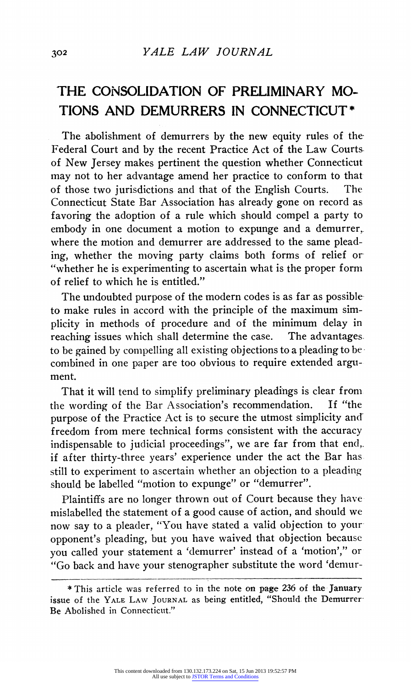## **THE CONSOLIDATION OF PRELIMINARY MO-TIONS AND DEMURRERS IN CONNECTICUT\***

**The abolishment of demurrers by the new equity rules of the Federal Court and by the recent Practice Act of the Law Courts of New Jersey makes pertinent the question whether Connecticut may not to her advantage amend her practice to conform to that**  of those two jurisdictions and that of the English Courts. **Connecticut State Bar Association has already gone on record as favoring the adoption of a rule which should compel a party to embody in one document a motion to expunge and a demurrer,. where the motion and demurrer are addressed to the same pleading, whether the moving party claims both forms of relief or "whether he is experimenting to ascertain what is the proper form of relief to which he is entitled."** 

**The undoubted purpose of the modern codes is as far as possible to make rules in accord with the principle of the maximum simplicity in methods of procedure and of the minimum delay in**  reaching issues which shall determine the case. **to be gained by compelling all existing objections to a pleading to be combined in one paper are too obvious to require extended argument.** 

That it will tend to simplify preliminary pleadings is clear from e wording of the Bar Association's recommendation. If "the the wording of the Bar Association's recommendation. **purpose of the Practice Act is to secure the utmost simplicity and freedom from mere technical forms consistent with the accuracy indispensable to judicial proceedings", we are far from that end,. if after thirty-three years' experience under the act the Bar has still to experiment to ascertain whether an objection to a pleading should be labelled "motion to expunge" or "demurrer".** 

**Plaintiffs are no longer thrown out of Court because they have mislabelled the statement of a good cause of action, and should we now say to a pleader, "You have stated a valid objection to your opponent's pleading, but you have waived that objection because you called your statement a 'demurrer' instead of a 'motion'," or "Go back and have your stenographer substitute the word 'demur-** 

**<sup>\*</sup> This article was referred to in the note on page 236 of the January issue of the YALE LAW JOURNAL as being entitled, "Should the Demurrer-Be Abolished in Connecticut."**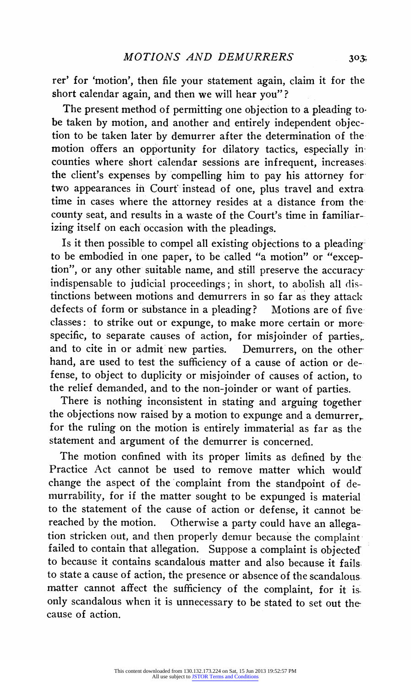**rer' for 'motion', then file your statement again, claim it for the short calendar again, and then we will hear you"?** 

**The present method of permitting one objection to a pleading tobe taken by motion, and another and entirely independent objection to be taken later by demurrer after the determination of the motion offers an opportunity for dilatory tactics, especially in, counties where short calendar sessions are infrequent, increases: the client's expenses by compelling him to pay his attorney for two appearances in Court' instead of one, plus travel and extra time in cases where the attorney resides at a distance from the county seat, and results in a waste of the Court's time in familiarizing itself on each occasion with the pleadings.** 

**Is it then possible to compel all existing objections to a pleading. to be embodied in one paper, to be called "a motion" or "exception", or any other suitable name, and still preserve the accuracy indispensable to judicial proceedings; in short, to abolish all distinctions between motions and demurrers in so far as they attack**  defects of form or substance in a pleading? **classes: to strike out or expunge, to make more certain or more**  specific, to separate causes of action, for misjoinder of parties, and to cite in or admit new parties. Demurrers, on the other and to cite in or admit new parties. **hand, are used to test the sufficiency of a cause of action or defense, to object to duplicity or misjoinder of causes of action, to the relief demanded, and to the non-joinder or want of parties.** 

**There is nothing inconsistent in stating and arguing together the objections now raised by a motion to expunge and a demurrer, for the ruling on the motion is entirely immaterial as far as the statement and argument of the demurrer is concerned.** 

**The motion confined with its proper limits as defined by the Practice Act cannot be used to remove matter which would? change the aspect of the complaint from the standpoint of demurrability, for if the matter sought to be expunged is material to the statement of the cause of action or defense, it cannot be**  Otherwise a party could have an allega**tion stricken out, and then properly demur because the complaint failed to contain that allegation. Suppose a complaint is objected' to because it contains scandalous matter and also because it'fails to state a cause of action, the presence or absence of the scandalous matter cannot affect the sufficiency of the complaint, for it is only scandalous when it is unnecessary to be stated to set out the cause of action.**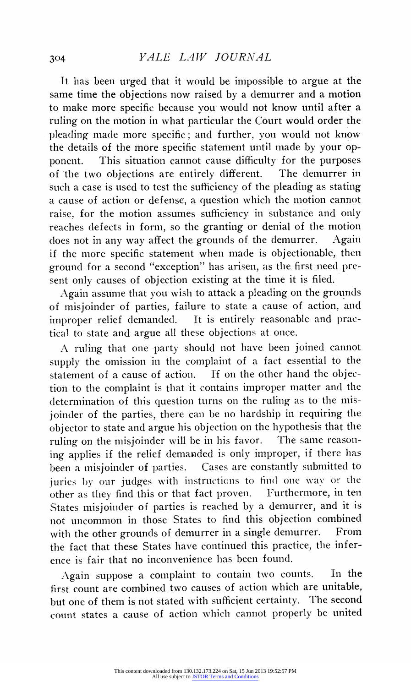**It has been urged that it would be impossible to argue at the same time the objections now raised by a demurrer and a motion to make more specific because you would not know until after a ruling on the motion in what particular the Court would order the pleading made more specific; and further, you would not know the details of the more specific statement until made by your opponent. This situation cannot cause difficulty for the purposes of the two objections are entirely different. The demurrer in such a case is used to test the sufficiency of the pleading as stating a cause of action or defense, a question which the motion cannot raise, for the motion assumes sufficiency in substance and only reaches defects in form, so the granting or denial of the motion**  does not in any way affect the grounds of the demurrer. **if the more specific statement when made is objectionable, then ground for a second "exception" has arisen, as the first need present only causes of objection existing at the time it is filed.** 

**Again assume that you wish to attack a pleading on the grounds of misjoinder of parties, failure to state a cause of action, and improper relief demanded. It is entirely reasonable and practical to state and argue all these objections at once.** 

**A ruling that one party should not have been joined cannot supply the omission in the complaint of a fact essential to the statement of a cause of action. If on the other hand the objec**tion to the complaint is that it contains improper matter and the determination of this question turns on the ruling as to the mis**joinder of the parties, there can be no hardship in requiring the objector to state and argue his objection on the hypothesis that the**  ruling on the misjoinder will be in his favor. **ing applies if the relief demanded is only improper, if there has been a misjoinder of parties. Cases are constantly submitted to juries )y our judges with instructions to find one way or the other as they find this or that fact proven. Furthermore, in ten States misjoinder of parties is reached by a demurrer, and it is not uncommon in those States to find this objection combined**  with the other grounds of demurrer in a single demurrer. **the fact that these States have continued this practice, the inference is fair that no inconvenience has been found.** 

**Again suppose a complaint to contain two counts. In the first count are combined two causes of action which are unitable, but one of them is not stated with sufficient certainty. The second count states a cause of action which cannot properly be united**